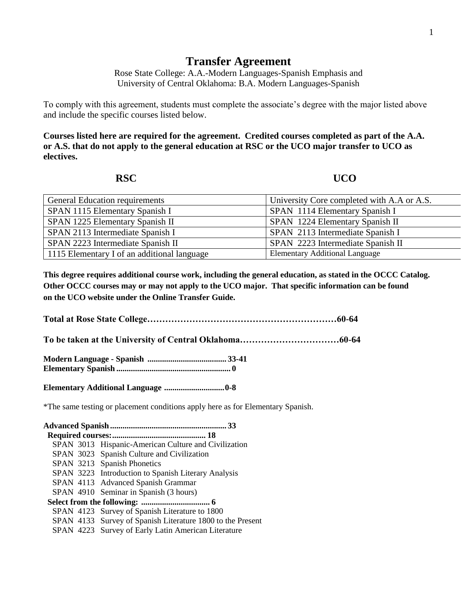## **Transfer Agreement**

Rose State College: A.A.-Modern Languages-Spanish Emphasis and University of Central Oklahoma: B.A. Modern Languages-Spanish

To comply with this agreement, students must complete the associate's degree with the major listed above and include the specific courses listed below.

**Courses listed here are required for the agreement. Credited courses completed as part of the A.A. or A.S. that do not apply to the general education at RSC or the UCO major transfer to UCO as electives.**

## **RSC UCO**

| General Education requirements              | University Core completed with A.A or A.S. |
|---------------------------------------------|--------------------------------------------|
| SPAN 1115 Elementary Spanish I              | SPAN 1114 Elementary Spanish I             |
| SPAN 1225 Elementary Spanish II             | SPAN 1224 Elementary Spanish II            |
| SPAN 2113 Intermediate Spanish I            | SPAN 2113 Intermediate Spanish I           |
| SPAN 2223 Intermediate Spanish II           | SPAN 2223 Intermediate Spanish II          |
| 1115 Elementary I of an additional language | <b>Elementary Additional Language</b>      |

**This degree requires additional course work, including the general education, as stated in the OCCC Catalog. Other OCCC courses may or may not apply to the UCO major. That specific information can be found on the UCO website under the Online Transfer Guide.**

**Total at Rose State College………………………………………………………60-64**

**To be taken at the University of Central Oklahoma……………………………60-64**

**Modern Language - Spanish ...................................... 33-41 Elementary Spanish ....................................................... 0**

**Elementary Additional Language .............................0-8**

\*The same testing or placement conditions apply here as for Elementary Spanish.

**Advanced Spanish........................................................ 33 Required courses:............................................. 18** SPAN 3013 Hispanic-American Culture and Civilization SPAN 3023 Spanish Culture and Civilization SPAN 3213 Spanish Phonetics SPAN 3223 Introduction to Spanish Literary Analysis SPAN 4113 Advanced Spanish Grammar SPAN 4910 Seminar in Spanish (3 hours)  **Select from the following: ................................. 6** SPAN 4123 Survey of Spanish Literature to 1800 SPAN 4133 Survey of Spanish Literature 1800 to the Present SPAN 4223 Survey of Early Latin American Literature